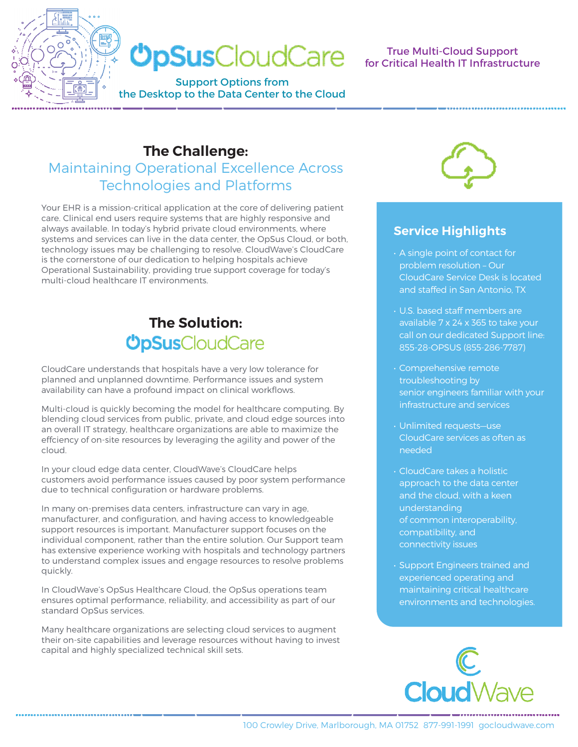

#### True Multi-Cloud Support for Critical Health IT Infrastructure

# **The Challenge:**  Maintaining Operational Excellence Across

Technologies and Platforms

Your EHR is a mission-critical application at the core of delivering patient care. Clinical end users require systems that are highly responsive and always available. In today's hybrid private cloud environments, where systems and services can live in the data center, the OpSus Cloud, or both, technology issues may be challenging to resolve. CloudWave's CloudCare is the cornerstone of our dedication to helping hospitals achieve Operational Sustainability, providing true support coverage for today's multi-cloud healthcare IT environments.

# **The Solution:<br>
OpSus**CloudCare

CloudCare understands that hospitals have a very low tolerance for planned and unplanned downtime. Performance issues and system availability can have a profound impact on clinical workflows.

Multi-cloud is quickly becoming the model for healthcare computing. By blending cloud services from public, private, and cloud edge sources into an overall IT strategy, healthcare organizations are able to maximize the effciency of on-site resources by leveraging the agility and power of the cloud.

In your cloud edge data center, CloudWave's CloudCare helps customers avoid performance issues caused by poor system performance due to technical configuration or hardware problems.

In many on-premises data centers, infrastructure can vary in age, manufacturer, and configuration, and having access to knowledgeable support resources is important. Manufacturer support focuses on the individual component, rather than the entire solution. Our Support team has extensive experience working with hospitals and technology partners to understand complex issues and engage resources to resolve problems quickly.

In CloudWave's OpSus Healthcare Cloud, the OpSus operations team ensures optimal performance, reliability, and accessibility as part of our standard OpSus services.

Many healthcare organizations are selecting cloud services to augment their on-site capabilities and leverage resources without having to invest capital and highly specialized technical skill sets.



#### **Service Highlights**

- A single point of contact for problem resolution – Our CloudCare Service Desk is located and staffed in San Antonio, TX
- U.S. based staff members are available 7 x 24 x 365 to take your call on our dedicated Support line: 855-28-OPSUS (855-286-7787)
- Comprehensive remote troubleshooting by senior engineers familiar with your infrastructure and services
- Unlimited requests—use CloudCare services as often as needed
- CloudCare takes a holistic approach to the data center and the cloud, with a keen understanding of common interoperability, compatibility, and connectivity issues
- Support Engineers trained and experienced operating and maintaining critical healthcare environments and technologies.